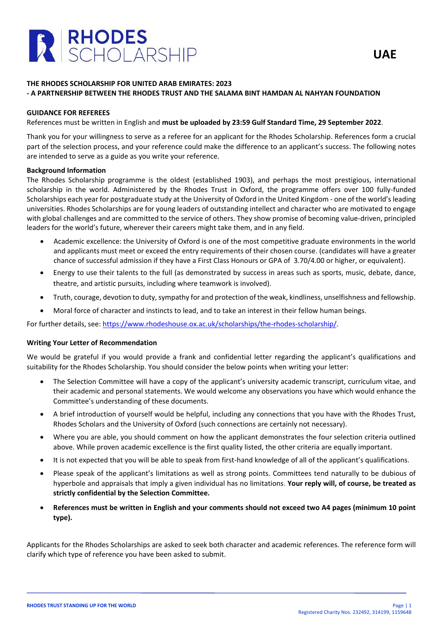

# **THE RHODES SCHOLARSHIP FOR UNITED ARAB EMIRATES: 2023 - A PARTNERSHIP BETWEEN THE RHODES TRUST AND THE SALAMA BINT HAMDAN AL NAHYAN FOUNDATION**

## **GUIDANCE FOR REFEREES**

References must be written in English and **must be uploaded by 23:59 Gulf Standard Time, 29 September 2022**.

Thank you for your willingness to serve as a referee for an applicant for the Rhodes Scholarship. References form a crucial part of the selection process, and your reference could make the difference to an applicant's success. The following notes are intended to serve as a guide as you write your reference.

### **Background Information**

The Rhodes Scholarship programme is the oldest (established 1903), and perhaps the most prestigious, international scholarship in the world. Administered by the Rhodes Trust in Oxford, the programme offers over 100 fully-funded Scholarships each year for postgraduate study at the University of Oxford in the United Kingdom - one of the world's leading universities. Rhodes Scholarships are for young leaders of outstanding intellect and character who are motivated to engage with global challenges and are committed to the service of others. They show promise of becoming value-driven, principled leaders for the world's future, wherever their careers might take them, and in any field.

- Academic excellence: the University of Oxford is one of the most competitive graduate environments in the world and applicants must meet or exceed the entry requirements of their chosen course. (candidates will have a greater chance of successful admission if they have a First Class Honours or GPA of 3.70/4.00 or higher, or equivalent).
- Energy to use their talents to the full (as demonstrated by success in areas such as sports, music, debate, dance, theatre, and artistic pursuits, including where teamwork is involved).
- Truth, courage, devotion to duty, sympathy for and protection of the weak, kindliness, unselfishness and fellowship.
- Moral force of character and instincts to lead, and to take an interest in their fellow human beings.

For further details, see: [https://www.rhodeshouse.ox.ac.uk/scholarships/the-rhodes-scholarship/.](https://www.rhodeshouse.ox.ac.uk/scholarships/the-rhodes-scholarship/)

#### **Writing Your Letter of Recommendation**

We would be grateful if you would provide a frank and confidential letter regarding the applicant's qualifications and suitability for the Rhodes Scholarship. You should consider the below points when writing your letter:

- The Selection Committee will have a copy of the applicant's university academic transcript, curriculum vitae, and their academic and personal statements. We would welcome any observations you have which would enhance the Committee's understanding of these documents.
- A brief introduction of yourself would be helpful, including any connections that you have with the Rhodes Trust, Rhodes Scholars and the University of Oxford (such connections are certainly not necessary).
- Where you are able, you should comment on how the applicant demonstrates the four selection criteria outlined above. While proven academic excellence is the first quality listed, the other criteria are equally important.
- It is not expected that you will be able to speak from first-hand knowledge of all of the applicant's qualifications.
- Please speak of the applicant's limitations as well as strong points. Committees tend naturally to be dubious of hyperbole and appraisals that imply a given individual has no limitations. **Your reply will, of course, be treated as strictly confidential by the Selection Committee.**
- **References must be written in English and your comments should not exceed two A4 pages (minimum 10 point type).**

Applicants for the Rhodes Scholarships are asked to seek both character and academic references. The reference form will clarify which type of reference you have been asked to submit.